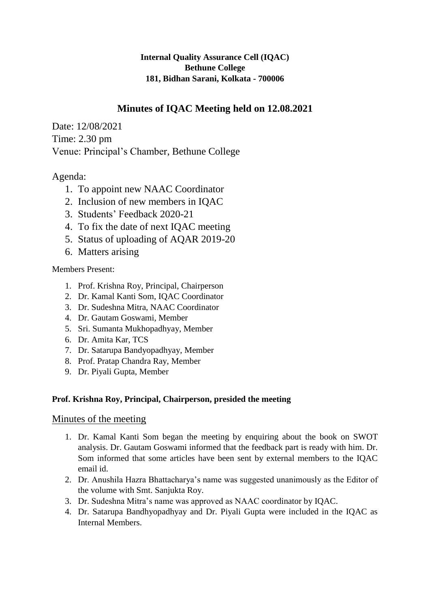## **Internal Quality Assurance Cell (IQAC) Bethune College 181, Bidhan Sarani, Kolkata - 700006**

# **Minutes of IQAC Meeting held on 12.08.2021**

Date: 12/08/2021 Time: 2.30 pm Venue: Principal's Chamber, Bethune College

# Agenda:

- 1. To appoint new NAAC Coordinator
- 2. Inclusion of new members in IQAC
- 3. Students' Feedback 2020-21
- 4. To fix the date of next IQAC meeting
- 5. Status of uploading of AQAR 2019-20
- 6. Matters arising

#### Members Present:

- 1. Prof. Krishna Roy, Principal, Chairperson
- 2. Dr. Kamal Kanti Som, IQAC Coordinator
- 3. Dr. Sudeshna Mitra, NAAC Coordinator
- 4. Dr. Gautam Goswami, Member
- 5. Sri. Sumanta Mukhopadhyay, Member
- 6. Dr. Amita Kar, TCS
- 7. Dr. Satarupa Bandyopadhyay, Member
- 8. Prof. Pratap Chandra Ray, Member
- 9. Dr. Piyali Gupta, Member

#### **Prof. Krishna Roy, Principal, Chairperson, presided the meeting**

## Minutes of the meeting

- 1. Dr. Kamal Kanti Som began the meeting by enquiring about the book on SWOT analysis. Dr. Gautam Goswami informed that the feedback part is ready with him. Dr. Som informed that some articles have been sent by external members to the IQAC email id.
- 2. Dr. Anushila Hazra Bhattacharya's name was suggested unanimously as the Editor of the volume with Smt. Sanjukta Roy.
- 3. Dr. Sudeshna Mitra's name was approved as NAAC coordinator by IQAC.
- 4. Dr. Satarupa Bandhyopadhyay and Dr. Piyali Gupta were included in the IQAC as Internal Members.